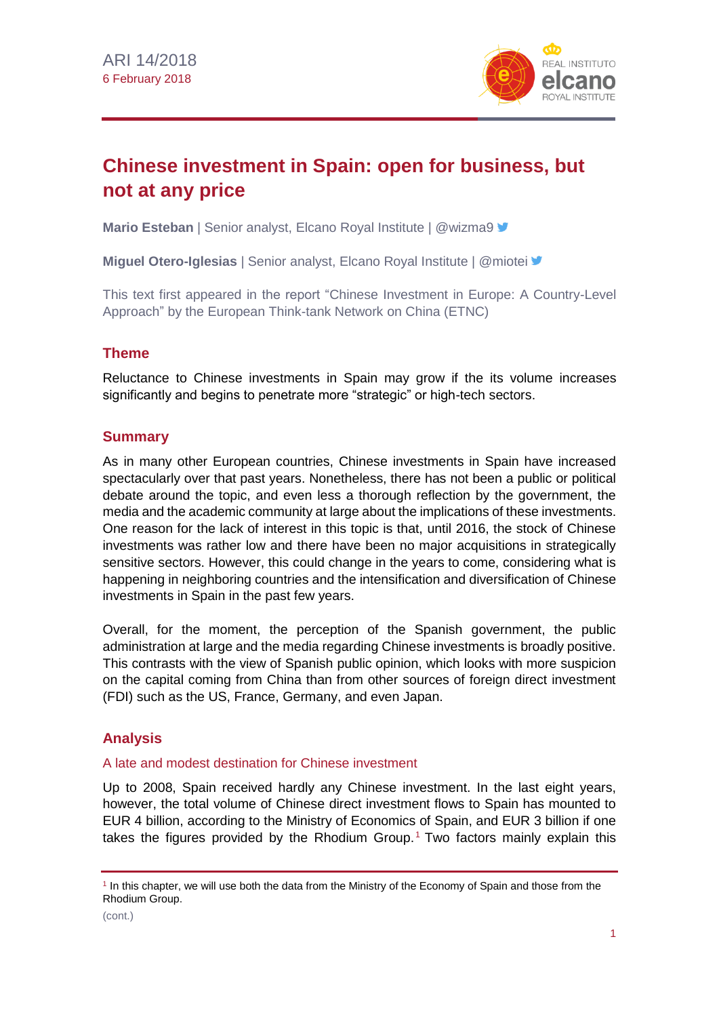

# **Chinese investment in Spain: open for business, but not at any price**

**Mario Esteban** | Senior analyst, Elcano Royal Institute | @wizma9 <del>■</del>

**Miguel Otero-Iglesias** | Senior analyst, Elcano Royal Institute | @miotei

This text first appeared in the report "Chinese Investment in Europe: A Country-Level Approach" by the European Think-tank Network on China (ETNC)

## **Theme**

Reluctance to Chinese investments in Spain may grow if the its volume increases significantly and begins to penetrate more "strategic" or high-tech sectors.

## **Summary**

As in many other European countries, Chinese investments in Spain have increased spectacularly over that past years. Nonetheless, there has not been a public or political debate around the topic, and even less a thorough reflection by the government, the media and the academic community at large about the implications of these investments. One reason for the lack of interest in this topic is that, until 2016, the stock of Chinese investments was rather low and there have been no major acquisitions in strategically sensitive sectors. However, this could change in the years to come, considering what is happening in neighboring countries and the intensification and diversification of Chinese investments in Spain in the past few years.

Overall, for the moment, the perception of the Spanish government, the public administration at large and the media regarding Chinese investments is broadly positive. This contrasts with the view of Spanish public opinion, which looks with more suspicion on the capital coming from China than from other sources of foreign direct investment (FDI) such as the US, France, Germany, and even Japan.

## **Analysis**

### A late and modest destination for Chinese investment

Up to 2008, Spain received hardly any Chinese investment. In the last eight years, however, the total volume of Chinese direct investment flows to Spain has mounted to EUR 4 billion, according to the Ministry of Economics of Spain, and EUR 3 billion if one takes the figures provided by the Rhodium Group.<sup>1</sup> Two factors mainly explain this

<sup>1</sup> In this chapter, we will use both the data from the Ministry of the Economy of Spain and those from the Rhodium Group.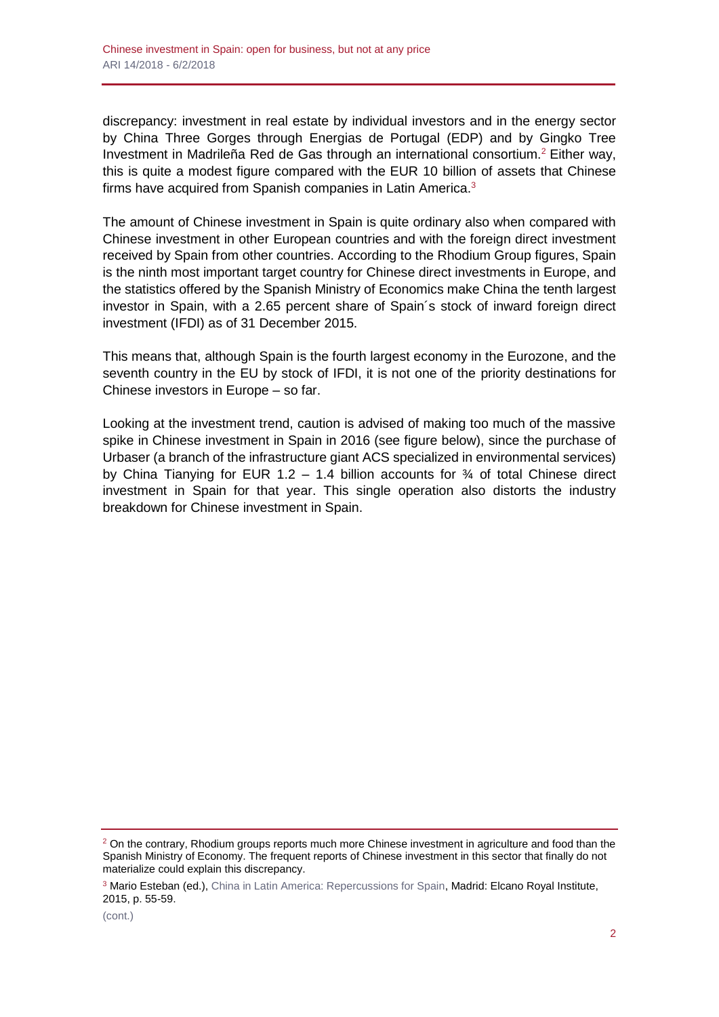discrepancy: investment in real estate by individual investors and in the energy sector by China Three Gorges through Energias de Portugal (EDP) and by Gingko Tree Investment in Madrileña Red de Gas through an international consortium.<sup>2</sup> Either way, this is quite a modest figure compared with the EUR 10 billion of assets that Chinese firms have acquired from Spanish companies in Latin America.<sup>3</sup>

The amount of Chinese investment in Spain is quite ordinary also when compared with Chinese investment in other European countries and with the foreign direct investment received by Spain from other countries. According to the Rhodium Group figures, Spain is the ninth most important target country for Chinese direct investments in Europe, and the statistics offered by the Spanish Ministry of Economics make China the tenth largest investor in Spain, with a 2.65 percent share of Spain´s stock of inward foreign direct investment (IFDI) as of 31 December 2015.

This means that, although Spain is the fourth largest economy in the Eurozone, and the seventh country in the EU by stock of IFDI, it is not one of the priority destinations for Chinese investors in Europe – so far.

Looking at the investment trend, caution is advised of making too much of the massive spike in Chinese investment in Spain in 2016 (see figure below), since the purchase of Urbaser (a branch of the infrastructure giant ACS specialized in environmental services) by China Tianying for EUR 1.2 - 1.4 billion accounts for  $\frac{3}{4}$  of total Chinese direct investment in Spain for that year. This single operation also distorts the industry breakdown for Chinese investment in Spain.

 $2$  On the contrary, Rhodium groups reports much more Chinese investment in agriculture and food than the Spanish Ministry of Economy. The frequent reports of Chinese investment in this sector that finally do not materialize could explain this discrepancy.

<sup>&</sup>lt;sup>3</sup> Mario Esteban (ed.), [China in Latin America: Repercussions for Spain,](http://www.realinstitutoelcano.org/wps/portal/rielcano_en/contenido?WCM_GLOBAL_CONTEXT=/elcano/elcano_in/zonas_in/wp3-2015-esteban-china-in-latin-america-repercussions-for-spain) Madrid: Elcano Royal Institute, 2015, p. 55-59.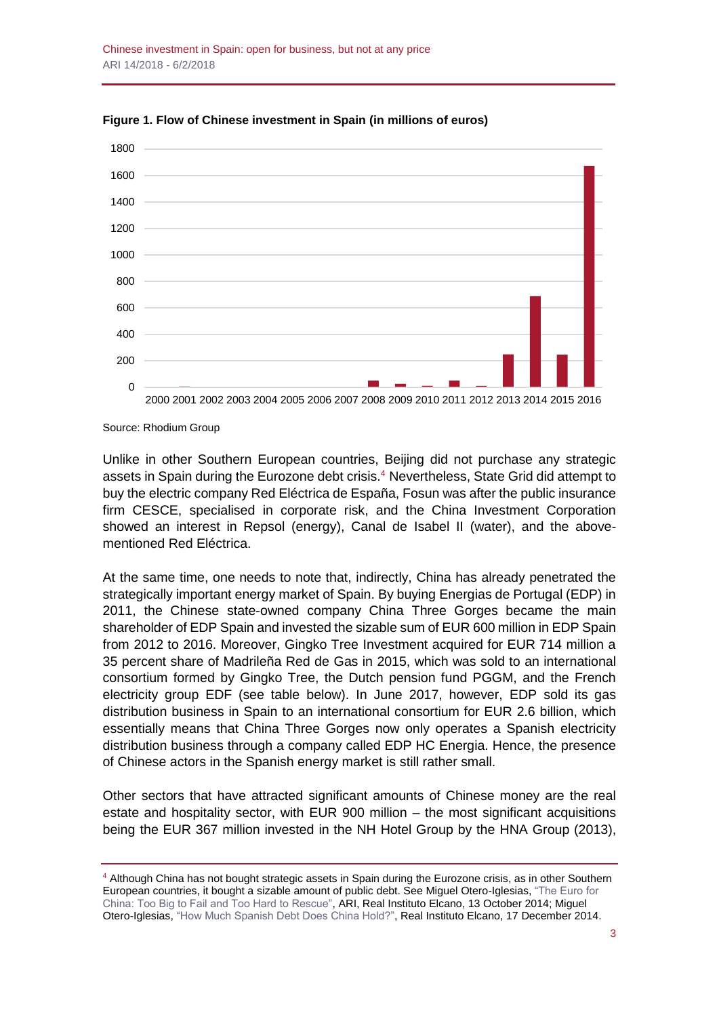

**Figure 1. Flow of Chinese investment in Spain (in millions of euros)**

Source: Rhodium Group

Unlike in other Southern European countries, Beijing did not purchase any strategic assets in Spain during the Eurozone debt crisis.<sup>4</sup> Nevertheless, State Grid did attempt to buy the electric company Red Eléctrica de España, Fosun was after the public insurance firm CESCE, specialised in corporate risk, and the China Investment Corporation showed an interest in Repsol (energy), Canal de Isabel II (water), and the abovementioned Red Eléctrica.

At the same time, one needs to note that, indirectly, China has already penetrated the strategically important energy market of Spain. By buying Energias de Portugal (EDP) in 2011, the Chinese state-owned company China Three Gorges became the main shareholder of EDP Spain and invested the sizable sum of EUR 600 million in EDP Spain from 2012 to 2016. Moreover, Gingko Tree Investment acquired for EUR 714 million a 35 percent share of Madrileña Red de Gas in 2015, which was sold to an international consortium formed by Gingko Tree, the Dutch pension fund PGGM, and the French electricity group EDF (see table below). In June 2017, however, EDP sold its gas distribution business in Spain to an international consortium for EUR 2.6 billion, which essentially means that China Three Gorges now only operates a Spanish electricity distribution business through a company called EDP HC Energia. Hence, the presence of Chinese actors in the Spanish energy market is still rather small.

Other sectors that have attracted significant amounts of Chinese money are the real estate and hospitality sector, with EUR 900 million – the most significant acquisitions being the EUR 367 million invested in the NH Hotel Group by the HNA Group (2013),

<sup>&</sup>lt;sup>4</sup> Although China has not bought strategic assets in Spain during the Eurozone crisis, as in other Southern European countries, it bought a sizable amount of public debt. See Miguel Otero-Iglesias, ["The Euro for](http://www.realinstitutoelcano.org/wps/portal/rielcano_en/contenido?WCM_GLOBAL_CONTEXT=/elcano/elcano_es/zonas_es/asia-pacifico/ari45-2014-oteroiglesias-the-euro-for-china-too-big-to-fail-and-too-hard-to-rescue)  [China: Too Big to Fail and Too Hard to Rescue",](http://www.realinstitutoelcano.org/wps/portal/rielcano_en/contenido?WCM_GLOBAL_CONTEXT=/elcano/elcano_es/zonas_es/asia-pacifico/ari45-2014-oteroiglesias-the-euro-for-china-too-big-to-fail-and-too-hard-to-rescue) ARI, Real Instituto Elcano, 13 October 2014; Miguel Otero-Iglesias, ["How Much Spanish Debt Does China Hold?",](https://blog.realinstitutoelcano.org/en/much-spanish-sovereign-debt-china-hold/) Real Instituto Elcano, 17 December 2014.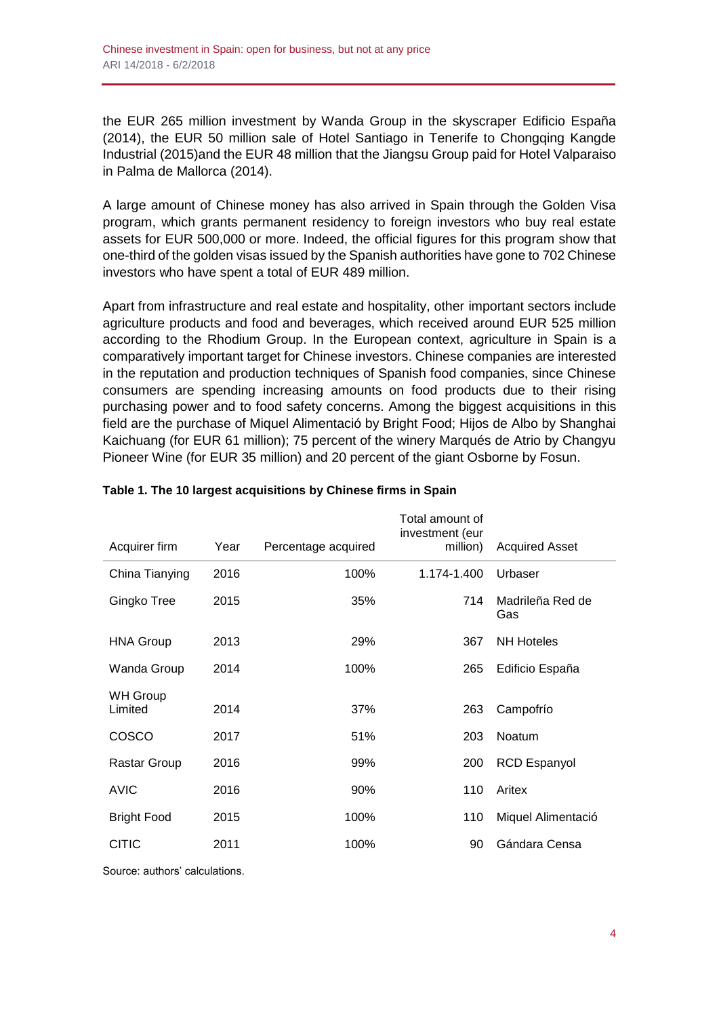the EUR 265 million investment by Wanda Group in the skyscraper Edificio España (2014), the EUR 50 million sale of Hotel Santiago in Tenerife to Chongqing Kangde Industrial (2015)and the EUR 48 million that the Jiangsu Group paid for Hotel Valparaiso in Palma de Mallorca (2014).

A large amount of Chinese money has also arrived in Spain through the Golden Visa program, which grants permanent residency to foreign investors who buy real estate assets for EUR 500,000 or more. Indeed, the official figures for this program show that one-third of the golden visas issued by the Spanish authorities have gone to 702 Chinese investors who have spent a total of EUR 489 million.

Apart from infrastructure and real estate and hospitality, other important sectors include agriculture products and food and beverages, which received around EUR 525 million according to the Rhodium Group. In the European context, agriculture in Spain is a comparatively important target for Chinese investors. Chinese companies are interested in the reputation and production techniques of Spanish food companies, since Chinese consumers are spending increasing amounts on food products due to their rising purchasing power and to food safety concerns. Among the biggest acquisitions in this field are the purchase of Miquel Alimentació by Bright Food; Hijos de Albo by Shanghai Kaichuang (for EUR 61 million); 75 percent of the winery Marqués de Atrio by Changyu Pioneer Wine (for EUR 35 million) and 20 percent of the giant Osborne by Fosun.

| Year | Percentage acquired | Total amount of<br>investment (eur<br>million) | <b>Acquired Asset</b>   |
|------|---------------------|------------------------------------------------|-------------------------|
| 2016 | 100%                | 1.174-1.400                                    | Urbaser                 |
| 2015 | 35%                 | 714                                            | Madrileña Red de<br>Gas |
| 2013 | 29%                 | 367                                            | <b>NH Hoteles</b>       |
| 2014 | 100%                | 265                                            | Edificio España         |
| 2014 | 37%                 | 263                                            | Campofrío               |
| 2017 | 51%                 | 203                                            | <b>Noatum</b>           |
| 2016 | 99%                 | 200                                            | <b>RCD Espanyol</b>     |
| 2016 | 90%                 | 110                                            | Aritex                  |
| 2015 | 100%                | 110                                            | Miquel Alimentació      |
| 2011 | 100%                | 90                                             | Gándara Censa           |
|      |                     |                                                |                         |

### **Table 1. The 10 largest acquisitions by Chinese firms in Spain**

Source: authors' calculations.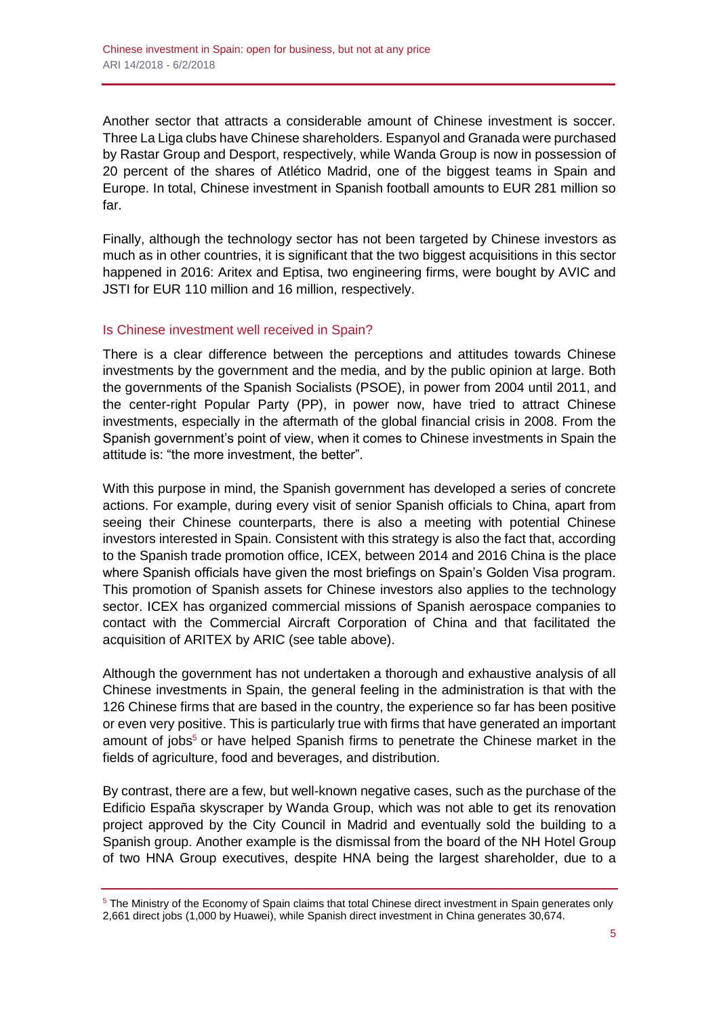Another sector that attracts a considerable amount of Chinese investment is soccer. Three La Liga clubs have Chinese shareholders. Espanyol and Granada were purchased by Rastar Group and Desport, respectively, while Wanda Group is now in possession of 20 percent of the shares of Atlético Madrid, one of the biggest teams in Spain and Europe. In total, Chinese investment in Spanish football amounts to EUR 281 million so far.

Finally, although the technology sector has not been targeted by Chinese investors as much as in other countries, it is significant that the two biggest acquisitions in this sector happened in 2016: Aritex and Eptisa, two engineering firms, were bought by AVIC and JSTI for EUR 110 million and 16 million, respectively.

### Is Chinese investment well received in Spain?

There is a clear difference between the perceptions and attitudes towards Chinese investments by the government and the media, and by the public opinion at large. Both the governments of the Spanish Socialists (PSOE), in power from 2004 until 2011, and the center-right Popular Party (PP), in power now, have tried to attract Chinese investments, especially in the aftermath of the global financial crisis in 2008. From the Spanish government's point of view, when it comes to Chinese investments in Spain the attitude is: "the more investment, the better".

With this purpose in mind, the Spanish government has developed a series of concrete actions. For example, during every visit of senior Spanish officials to China, apart from seeing their Chinese counterparts, there is also a meeting with potential Chinese investors interested in Spain. Consistent with this strategy is also the fact that, according to the Spanish trade promotion office, ICEX, between 2014 and 2016 China is the place where Spanish officials have given the most briefings on Spain's Golden Visa program. This promotion of Spanish assets for Chinese investors also applies to the technology sector. ICEX has organized commercial missions of Spanish aerospace companies to contact with the Commercial Aircraft Corporation of China and that facilitated the acquisition of ARITEX by ARIC (see table above).

Although the government has not undertaken a thorough and exhaustive analysis of all Chinese investments in Spain, the general feeling in the administration is that with the 126 Chinese firms that are based in the country, the experience so far has been positive or even very positive. This is particularly true with firms that have generated an important amount of jobs<sup>5</sup> or have helped Spanish firms to penetrate the Chinese market in the fields of agriculture, food and beverages, and distribution.

By contrast, there are a few, but well-known negative cases, such as the purchase of the Edificio España skyscraper by Wanda Group, which was not able to get its renovation project approved by the City Council in Madrid and eventually sold the building to a Spanish group. Another example is the dismissal from the board of the NH Hotel Group of two HNA Group executives, despite HNA being the largest shareholder, due to a

<sup>&</sup>lt;sup>5</sup> The Ministry of the Economy of Spain claims that total Chinese direct investment in Spain generates only 2,661 direct jobs (1,000 by Huawei), while Spanish direct investment in China generates 30,674.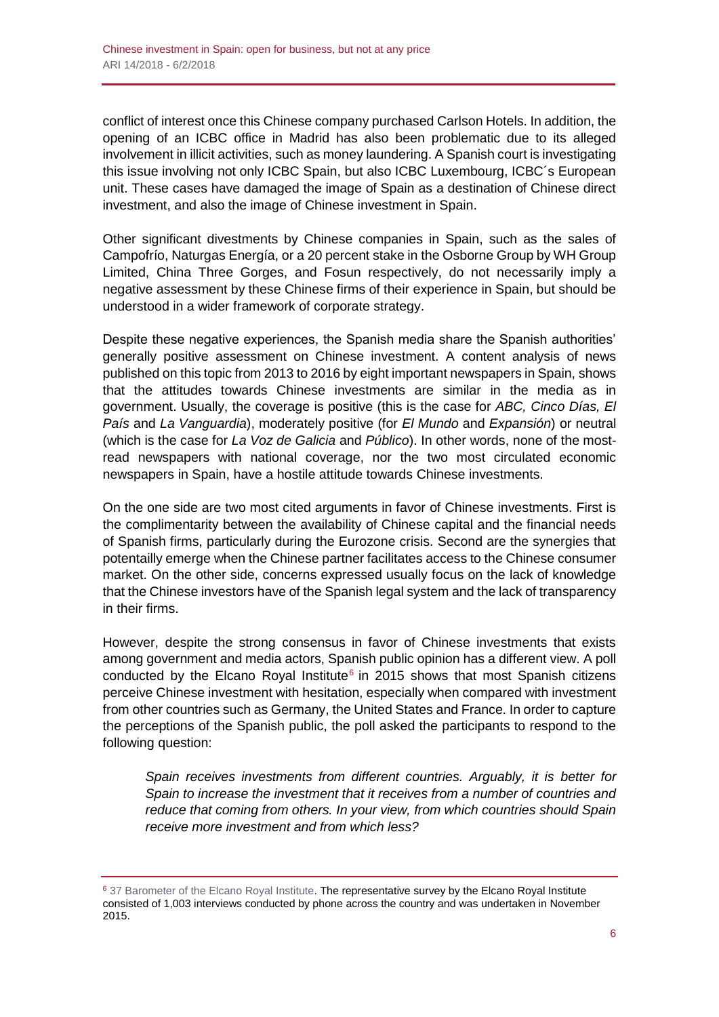conflict of interest once this Chinese company purchased Carlson Hotels. In addition, the opening of an ICBC office in Madrid has also been problematic due to its alleged involvement in illicit activities, such as money laundering. A Spanish court is investigating this issue involving not only ICBC Spain, but also ICBC Luxembourg, ICBC´s European unit. These cases have damaged the image of Spain as a destination of Chinese direct investment, and also the image of Chinese investment in Spain.

Other significant divestments by Chinese companies in Spain, such as the sales of Campofrío, Naturgas Energía, or a 20 percent stake in the Osborne Group by WH Group Limited, China Three Gorges, and Fosun respectively, do not necessarily imply a negative assessment by these Chinese firms of their experience in Spain, but should be understood in a wider framework of corporate strategy.

Despite these negative experiences, the Spanish media share the Spanish authorities' generally positive assessment on Chinese investment. A content analysis of news published on this topic from 2013 to 2016 by eight important newspapers in Spain, shows that the attitudes towards Chinese investments are similar in the media as in government. Usually, the coverage is positive (this is the case for *ABC, Cinco Días, El País* and *La Vanguardia*), moderately positive (for *El Mundo* and *Expansión*) or neutral (which is the case for *La Voz de Galicia* and *Público*). In other words, none of the mostread newspapers with national coverage, nor the two most circulated economic newspapers in Spain, have a hostile attitude towards Chinese investments.

On the one side are two most cited arguments in favor of Chinese investments. First is the complimentarity between the availability of Chinese capital and the financial needs of Spanish firms, particularly during the Eurozone crisis. Second are the synergies that potentailly emerge when the Chinese partner facilitates access to the Chinese consumer market. On the other side, concerns expressed usually focus on the lack of knowledge that the Chinese investors have of the Spanish legal system and the lack of transparency in their firms.

However, despite the strong consensus in favor of Chinese investments that exists among government and media actors, Spanish public opinion has a different view. A poll conducted by the Elcano Royal Institute<sup>6</sup> in 2015 shows that most Spanish citizens perceive Chinese investment with hesitation, especially when compared with investment from other countries such as Germany, the United States and France. In order to capture the perceptions of the Spanish public, the poll asked the participants to respond to the following question:

*Spain receives investments from different countries. Arguably, it is better for Spain to increase the investment that it receives from a number of countries and reduce that coming from others. In your view, from which countries should Spain receive more investment and from which less?*

<sup>&</sup>lt;sup>6</sup> [37 Barometer of the Elcano Royal Institute.](http://www.realinstitutoelcano.org/wps/portal/rielcano_es/encuesta?WCM_GLOBAL_CONTEXT=/elcano/elcano_es/barometro/oleadabrie37) The representative survey by the Elcano Royal Institute consisted of 1,003 interviews conducted by phone across the country and was undertaken in November 2015.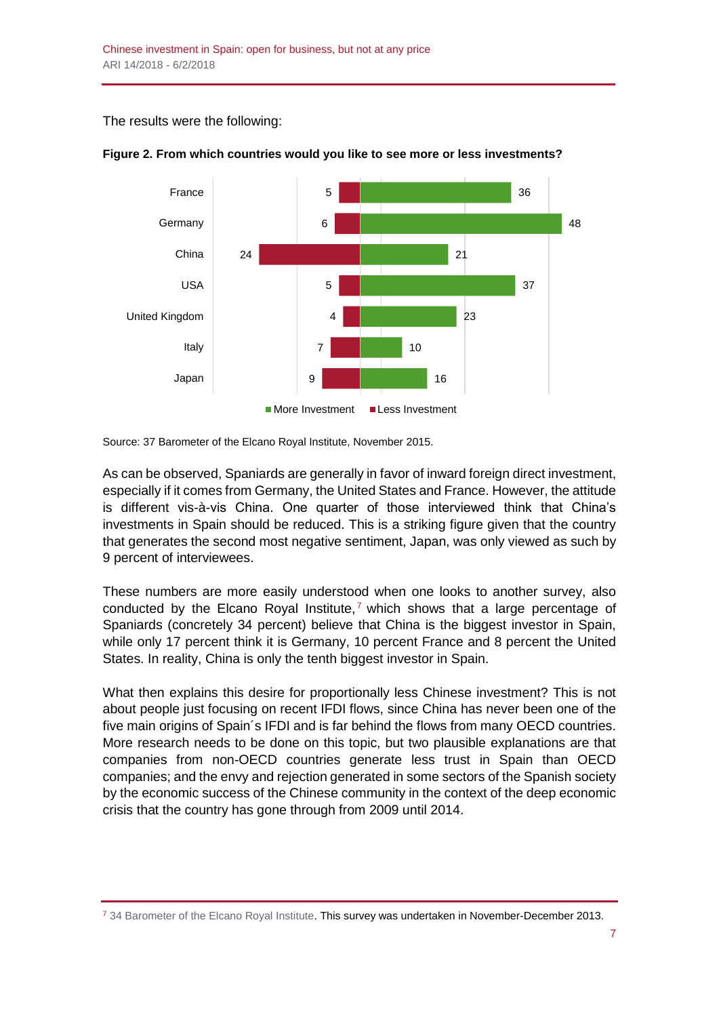The results were the following:



#### **Figure 2. From which countries would you like to see more or less investments?**

Source: 37 Barometer of the Elcano Royal Institute, November 2015.

As can be observed, Spaniards are generally in favor of inward foreign direct investment, especially if it comes from Germany, the United States and France. However, the attitude is different vis-à-vis China. One quarter of those interviewed think that China's investments in Spain should be reduced. This is a striking figure given that the country that generates the second most negative sentiment, Japan, was only viewed as such by 9 percent of interviewees.

These numbers are more easily understood when one looks to another survey, also conducted by the Elcano Royal Institute,<sup>7</sup> which shows that a large percentage of Spaniards (concretely 34 percent) believe that China is the biggest investor in Spain, while only 17 percent think it is Germany, 10 percent France and 8 percent the United States. In reality, China is only the tenth biggest investor in Spain.

What then explains this desire for proportionally less Chinese investment? This is not about people just focusing on recent IFDI flows, since China has never been one of the five main origins of Spain´s IFDI and is far behind the flows from many OECD countries. More research needs to be done on this topic, but two plausible explanations are that companies from non-OECD countries generate less trust in Spain than OECD companies; and the envy and rejection generated in some sectors of the Spanish society by the economic success of the Chinese community in the context of the deep economic crisis that the country has gone through from 2009 until 2014.

<sup>7</sup> [34 Barometer of the Elcano Royal Institute.](http://www.realinstitutoelcano.org/wps/portal/rielcano_es/encuesta?WCM_GLOBAL_CONTEXT=/elcano/elcano_es/barometro/oleadabrie34) This survey was undertaken in November-December 2013.